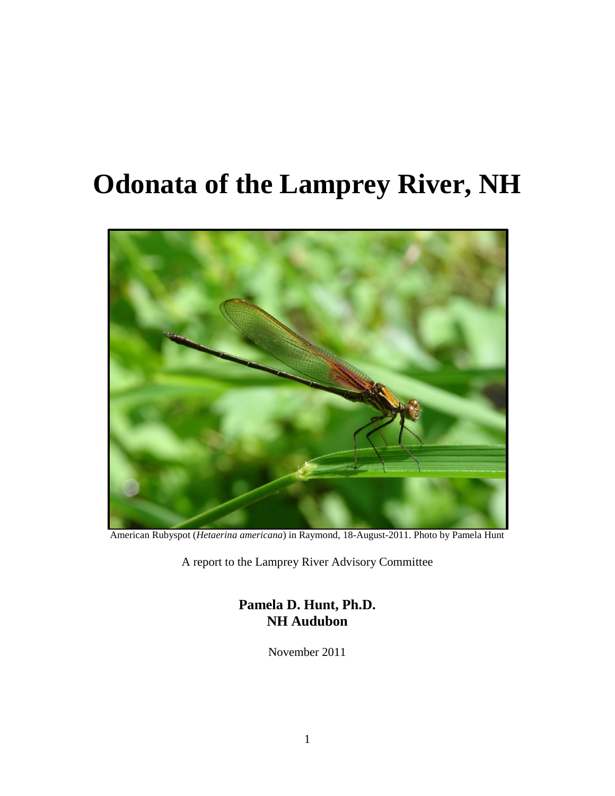# **Odonata of the Lamprey River, NH**



American Rubyspot (*Hetaerina americana*) in Raymond, 18-August-2011. Photo by Pamela Hunt

A report to the Lamprey River Advisory Committee

**Pamela D. Hunt, Ph.D. NH Audubon**

November 2011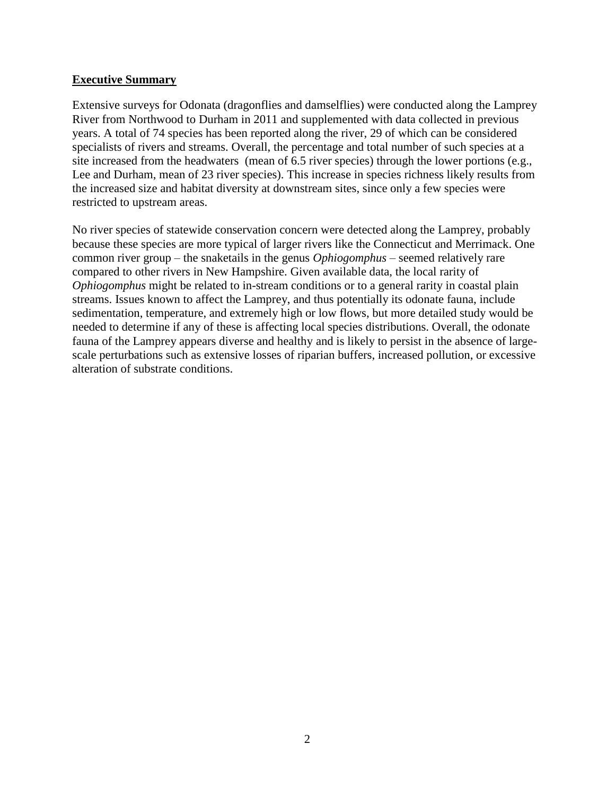#### **Executive Summary**

Extensive surveys for Odonata (dragonflies and damselflies) were conducted along the Lamprey River from Northwood to Durham in 2011 and supplemented with data collected in previous years. A total of 74 species has been reported along the river, 29 of which can be considered specialists of rivers and streams. Overall, the percentage and total number of such species at a site increased from the headwaters (mean of 6.5 river species) through the lower portions (e.g., Lee and Durham, mean of 23 river species). This increase in species richness likely results from the increased size and habitat diversity at downstream sites, since only a few species were restricted to upstream areas.

No river species of statewide conservation concern were detected along the Lamprey, probably because these species are more typical of larger rivers like the Connecticut and Merrimack. One common river group – the snaketails in the genus *Ophiogomphus* – seemed relatively rare compared to other rivers in New Hampshire. Given available data, the local rarity of *Ophiogomphus* might be related to in-stream conditions or to a general rarity in coastal plain streams. Issues known to affect the Lamprey, and thus potentially its odonate fauna, include sedimentation, temperature, and extremely high or low flows, but more detailed study would be needed to determine if any of these is affecting local species distributions. Overall, the odonate fauna of the Lamprey appears diverse and healthy and is likely to persist in the absence of largescale perturbations such as extensive losses of riparian buffers, increased pollution, or excessive alteration of substrate conditions.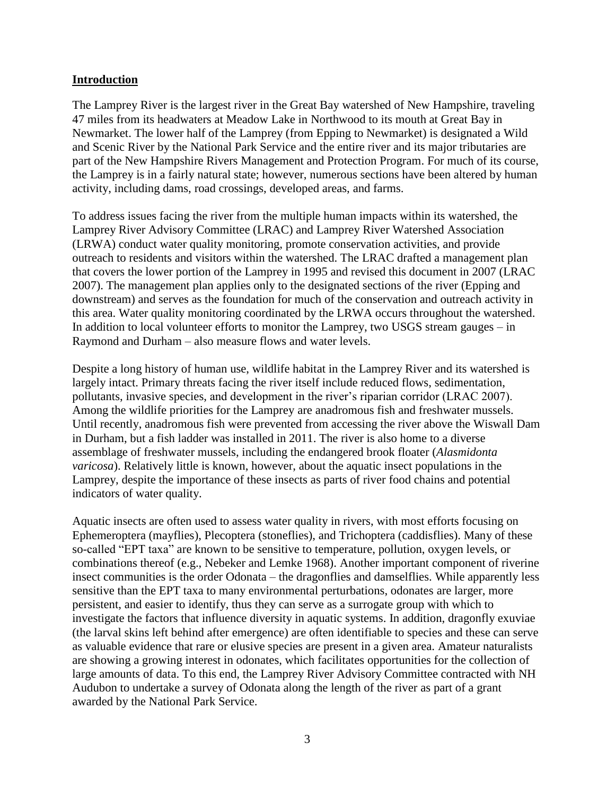#### **Introduction**

The Lamprey River is the largest river in the Great Bay watershed of New Hampshire, traveling 47 miles from its headwaters at Meadow Lake in Northwood to its mouth at Great Bay in Newmarket. The lower half of the Lamprey (from Epping to Newmarket) is designated a Wild and Scenic River by the National Park Service and the entire river and its major tributaries are part of the New Hampshire Rivers Management and Protection Program. For much of its course, the Lamprey is in a fairly natural state; however, numerous sections have been altered by human activity, including dams, road crossings, developed areas, and farms.

To address issues facing the river from the multiple human impacts within its watershed, the Lamprey River Advisory Committee (LRAC) and Lamprey River Watershed Association (LRWA) conduct water quality monitoring, promote conservation activities, and provide outreach to residents and visitors within the watershed. The LRAC drafted a management plan that covers the lower portion of the Lamprey in 1995 and revised this document in 2007 (LRAC 2007). The management plan applies only to the designated sections of the river (Epping and downstream) and serves as the foundation for much of the conservation and outreach activity in this area. Water quality monitoring coordinated by the LRWA occurs throughout the watershed. In addition to local volunteer efforts to monitor the Lamprey, two USGS stream gauges – in Raymond and Durham – also measure flows and water levels.

Despite a long history of human use, wildlife habitat in the Lamprey River and its watershed is largely intact. Primary threats facing the river itself include reduced flows, sedimentation, pollutants, invasive species, and development in the river's riparian corridor (LRAC 2007). Among the wildlife priorities for the Lamprey are anadromous fish and freshwater mussels. Until recently, anadromous fish were prevented from accessing the river above the Wiswall Dam in Durham, but a fish ladder was installed in 2011. The river is also home to a diverse assemblage of freshwater mussels, including the endangered brook floater (*Alasmidonta varicosa*). Relatively little is known, however, about the aquatic insect populations in the Lamprey, despite the importance of these insects as parts of river food chains and potential indicators of water quality.

Aquatic insects are often used to assess water quality in rivers, with most efforts focusing on Ephemeroptera (mayflies), Plecoptera (stoneflies), and Trichoptera (caddisflies). Many of these so-called "EPT taxa" are known to be sensitive to temperature, pollution, oxygen levels, or combinations thereof (e.g., Nebeker and Lemke 1968). Another important component of riverine insect communities is the order Odonata – the dragonflies and damselflies. While apparently less sensitive than the EPT taxa to many environmental perturbations, odonates are larger, more persistent, and easier to identify, thus they can serve as a surrogate group with which to investigate the factors that influence diversity in aquatic systems. In addition, dragonfly exuviae (the larval skins left behind after emergence) are often identifiable to species and these can serve as valuable evidence that rare or elusive species are present in a given area. Amateur naturalists are showing a growing interest in odonates, which facilitates opportunities for the collection of large amounts of data. To this end, the Lamprey River Advisory Committee contracted with NH Audubon to undertake a survey of Odonata along the length of the river as part of a grant awarded by the National Park Service.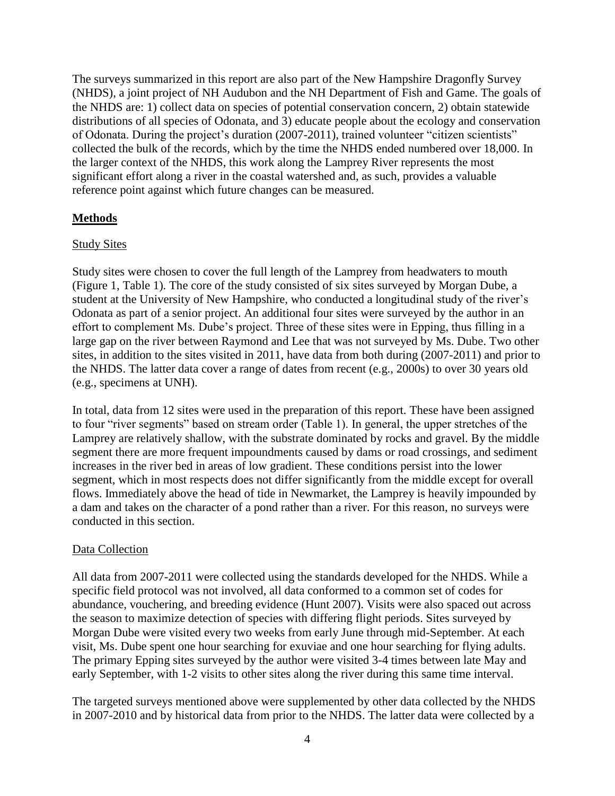The surveys summarized in this report are also part of the New Hampshire Dragonfly Survey (NHDS), a joint project of NH Audubon and the NH Department of Fish and Game. The goals of the NHDS are: 1) collect data on species of potential conservation concern, 2) obtain statewide distributions of all species of Odonata, and 3) educate people about the ecology and conservation of Odonata. During the project's duration (2007-2011), trained volunteer "citizen scientists" collected the bulk of the records, which by the time the NHDS ended numbered over 18,000. In the larger context of the NHDS, this work along the Lamprey River represents the most significant effort along a river in the coastal watershed and, as such, provides a valuable reference point against which future changes can be measured.

## **Methods**

#### Study Sites

Study sites were chosen to cover the full length of the Lamprey from headwaters to mouth (Figure 1, Table 1). The core of the study consisted of six sites surveyed by Morgan Dube, a student at the University of New Hampshire, who conducted a longitudinal study of the river's Odonata as part of a senior project. An additional four sites were surveyed by the author in an effort to complement Ms. Dube's project. Three of these sites were in Epping, thus filling in a large gap on the river between Raymond and Lee that was not surveyed by Ms. Dube. Two other sites, in addition to the sites visited in 2011, have data from both during (2007-2011) and prior to the NHDS. The latter data cover a range of dates from recent (e.g., 2000s) to over 30 years old (e.g., specimens at UNH).

In total, data from 12 sites were used in the preparation of this report. These have been assigned to four "river segments" based on stream order (Table 1). In general, the upper stretches of the Lamprey are relatively shallow, with the substrate dominated by rocks and gravel. By the middle segment there are more frequent impoundments caused by dams or road crossings, and sediment increases in the river bed in areas of low gradient. These conditions persist into the lower segment, which in most respects does not differ significantly from the middle except for overall flows. Immediately above the head of tide in Newmarket, the Lamprey is heavily impounded by a dam and takes on the character of a pond rather than a river. For this reason, no surveys were conducted in this section.

#### Data Collection

All data from 2007-2011 were collected using the standards developed for the NHDS. While a specific field protocol was not involved, all data conformed to a common set of codes for abundance, vouchering, and breeding evidence (Hunt 2007). Visits were also spaced out across the season to maximize detection of species with differing flight periods. Sites surveyed by Morgan Dube were visited every two weeks from early June through mid-September. At each visit, Ms. Dube spent one hour searching for exuviae and one hour searching for flying adults. The primary Epping sites surveyed by the author were visited 3-4 times between late May and early September, with 1-2 visits to other sites along the river during this same time interval.

The targeted surveys mentioned above were supplemented by other data collected by the NHDS in 2007-2010 and by historical data from prior to the NHDS. The latter data were collected by a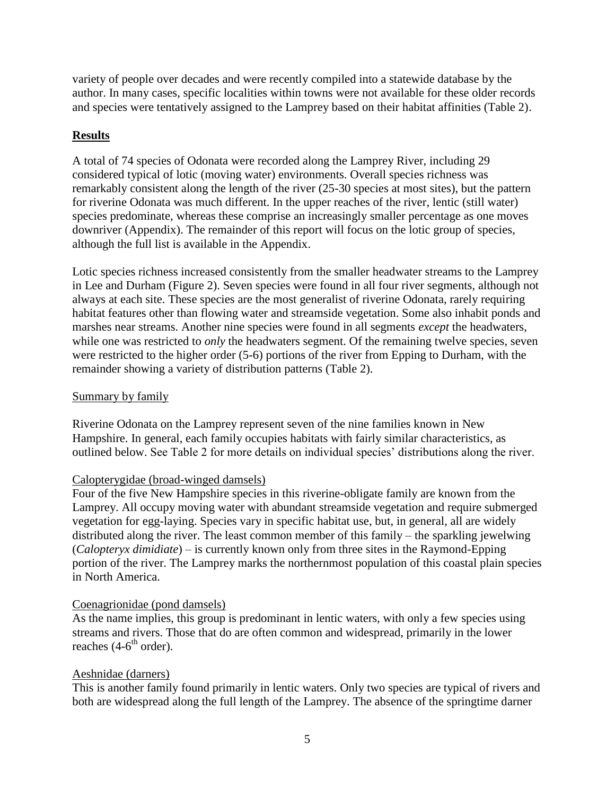variety of people over decades and were recently compiled into a statewide database by the author. In many cases, specific localities within towns were not available for these older records and species were tentatively assigned to the Lamprey based on their habitat affinities (Table 2).

# **Results**

A total of 74 species of Odonata were recorded along the Lamprey River, including 29 considered typical of lotic (moving water) environments. Overall species richness was remarkably consistent along the length of the river (25-30 species at most sites), but the pattern for riverine Odonata was much different. In the upper reaches of the river, lentic (still water) species predominate, whereas these comprise an increasingly smaller percentage as one moves downriver (Appendix). The remainder of this report will focus on the lotic group of species, although the full list is available in the Appendix.

Lotic species richness increased consistently from the smaller headwater streams to the Lamprey in Lee and Durham (Figure 2). Seven species were found in all four river segments, although not always at each site. These species are the most generalist of riverine Odonata, rarely requiring habitat features other than flowing water and streamside vegetation. Some also inhabit ponds and marshes near streams. Another nine species were found in all segments *except* the headwaters, while one was restricted to *only* the headwaters segment. Of the remaining twelve species, seven were restricted to the higher order (5-6) portions of the river from Epping to Durham, with the remainder showing a variety of distribution patterns (Table 2).

## Summary by family

Riverine Odonata on the Lamprey represent seven of the nine families known in New Hampshire. In general, each family occupies habitats with fairly similar characteristics, as outlined below. See Table 2 for more details on individual species' distributions along the river.

# Calopterygidae (broad-winged damsels)

Four of the five New Hampshire species in this riverine-obligate family are known from the Lamprey. All occupy moving water with abundant streamside vegetation and require submerged vegetation for egg-laying. Species vary in specific habitat use, but, in general, all are widely distributed along the river. The least common member of this family – the sparkling jewelwing (*Calopteryx dimidiate*) – is currently known only from three sites in the Raymond-Epping portion of the river. The Lamprey marks the northernmost population of this coastal plain species in North America.

# Coenagrionidae (pond damsels)

As the name implies, this group is predominant in lentic waters, with only a few species using streams and rivers. Those that do are often common and widespread, primarily in the lower reaches (4-6<sup>th</sup> order).

# Aeshnidae (darners)

This is another family found primarily in lentic waters. Only two species are typical of rivers and both are widespread along the full length of the Lamprey. The absence of the springtime darner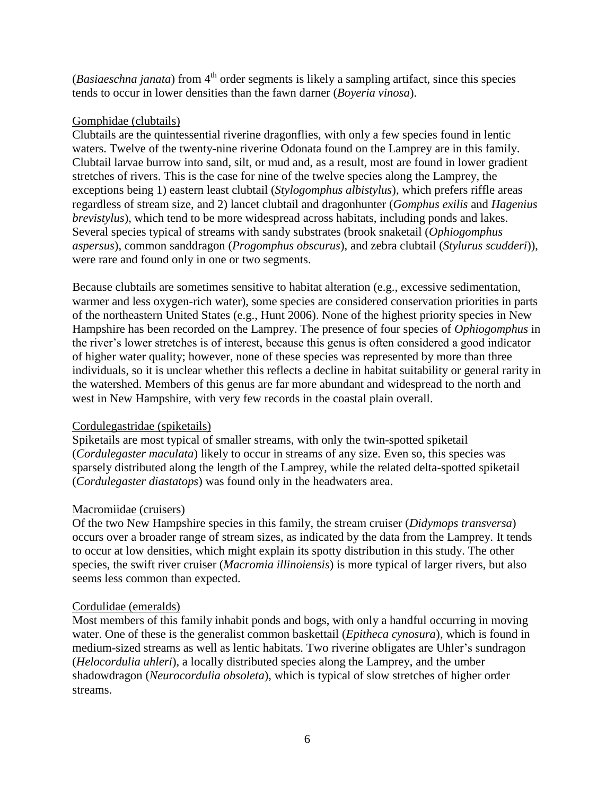(*Basiaeschna janata*) from 4<sup>th</sup> order segments is likely a sampling artifact, since this species tends to occur in lower densities than the fawn darner (*Boyeria vinosa*).

## Gomphidae (clubtails)

Clubtails are the quintessential riverine dragonflies, with only a few species found in lentic waters. Twelve of the twenty-nine riverine Odonata found on the Lamprey are in this family. Clubtail larvae burrow into sand, silt, or mud and, as a result, most are found in lower gradient stretches of rivers. This is the case for nine of the twelve species along the Lamprey, the exceptions being 1) eastern least clubtail (*Stylogomphus albistylus*), which prefers riffle areas regardless of stream size, and 2) lancet clubtail and dragonhunter (*Gomphus exilis* and *Hagenius brevistylus*), which tend to be more widespread across habitats, including ponds and lakes. Several species typical of streams with sandy substrates (brook snaketail (*Ophiogomphus aspersus*), common sanddragon (*Progomphus obscurus*), and zebra clubtail (*Stylurus scudderi*)), were rare and found only in one or two segments.

Because clubtails are sometimes sensitive to habitat alteration (e.g., excessive sedimentation, warmer and less oxygen-rich water), some species are considered conservation priorities in parts of the northeastern United States (e.g., Hunt 2006). None of the highest priority species in New Hampshire has been recorded on the Lamprey. The presence of four species of *Ophiogomphus* in the river's lower stretches is of interest, because this genus is often considered a good indicator of higher water quality; however, none of these species was represented by more than three individuals, so it is unclear whether this reflects a decline in habitat suitability or general rarity in the watershed. Members of this genus are far more abundant and widespread to the north and west in New Hampshire, with very few records in the coastal plain overall.

# Cordulegastridae (spiketails)

Spiketails are most typical of smaller streams, with only the twin-spotted spiketail (*Cordulegaster maculata*) likely to occur in streams of any size. Even so, this species was sparsely distributed along the length of the Lamprey, while the related delta-spotted spiketail (*Cordulegaster diastatops*) was found only in the headwaters area.

# Macromiidae (cruisers)

Of the two New Hampshire species in this family, the stream cruiser (*Didymops transversa*) occurs over a broader range of stream sizes, as indicated by the data from the Lamprey. It tends to occur at low densities, which might explain its spotty distribution in this study. The other species, the swift river cruiser (*Macromia illinoiensis*) is more typical of larger rivers, but also seems less common than expected.

#### Cordulidae (emeralds)

Most members of this family inhabit ponds and bogs, with only a handful occurring in moving water. One of these is the generalist common baskettail (*Epitheca cynosura*), which is found in medium-sized streams as well as lentic habitats. Two riverine obligates are Uhler's sundragon (*Helocordulia uhleri*), a locally distributed species along the Lamprey, and the umber shadowdragon (*Neurocordulia obsoleta*), which is typical of slow stretches of higher order streams.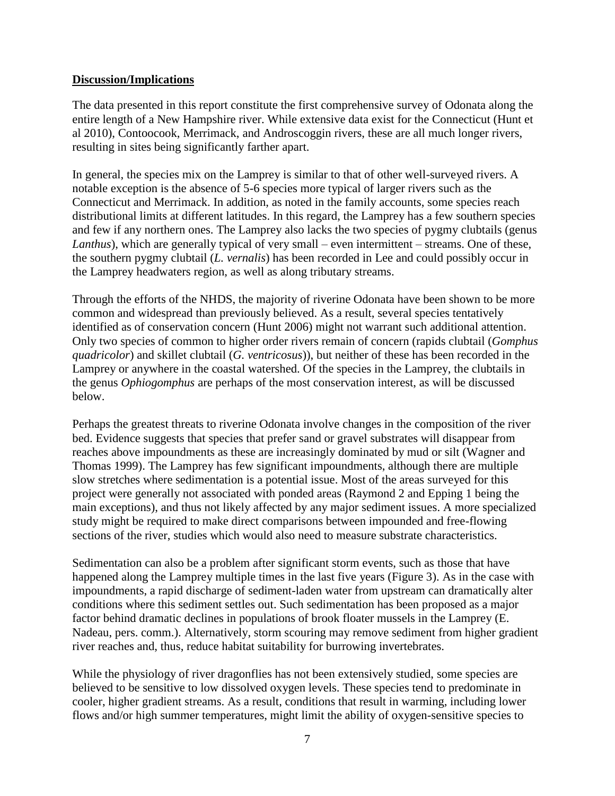## **Discussion/Implications**

The data presented in this report constitute the first comprehensive survey of Odonata along the entire length of a New Hampshire river. While extensive data exist for the Connecticut (Hunt et al 2010), Contoocook, Merrimack, and Androscoggin rivers, these are all much longer rivers, resulting in sites being significantly farther apart.

In general, the species mix on the Lamprey is similar to that of other well-surveyed rivers. A notable exception is the absence of 5-6 species more typical of larger rivers such as the Connecticut and Merrimack. In addition, as noted in the family accounts, some species reach distributional limits at different latitudes. In this regard, the Lamprey has a few southern species and few if any northern ones. The Lamprey also lacks the two species of pygmy clubtails (genus *Lanthus*), which are generally typical of very small – even intermittent – streams. One of these, the southern pygmy clubtail (*L. vernalis*) has been recorded in Lee and could possibly occur in the Lamprey headwaters region, as well as along tributary streams.

Through the efforts of the NHDS, the majority of riverine Odonata have been shown to be more common and widespread than previously believed. As a result, several species tentatively identified as of conservation concern (Hunt 2006) might not warrant such additional attention. Only two species of common to higher order rivers remain of concern (rapids clubtail (*Gomphus quadricolor*) and skillet clubtail (*G. ventricosus*)), but neither of these has been recorded in the Lamprey or anywhere in the coastal watershed. Of the species in the Lamprey, the clubtails in the genus *Ophiogomphus* are perhaps of the most conservation interest, as will be discussed below.

Perhaps the greatest threats to riverine Odonata involve changes in the composition of the river bed. Evidence suggests that species that prefer sand or gravel substrates will disappear from reaches above impoundments as these are increasingly dominated by mud or silt (Wagner and Thomas 1999). The Lamprey has few significant impoundments, although there are multiple slow stretches where sedimentation is a potential issue. Most of the areas surveyed for this project were generally not associated with ponded areas (Raymond 2 and Epping 1 being the main exceptions), and thus not likely affected by any major sediment issues. A more specialized study might be required to make direct comparisons between impounded and free-flowing sections of the river, studies which would also need to measure substrate characteristics.

Sedimentation can also be a problem after significant storm events, such as those that have happened along the Lamprey multiple times in the last five years (Figure 3). As in the case with impoundments, a rapid discharge of sediment-laden water from upstream can dramatically alter conditions where this sediment settles out. Such sedimentation has been proposed as a major factor behind dramatic declines in populations of brook floater mussels in the Lamprey (E. Nadeau, pers. comm.). Alternatively, storm scouring may remove sediment from higher gradient river reaches and, thus, reduce habitat suitability for burrowing invertebrates.

While the physiology of river dragonflies has not been extensively studied, some species are believed to be sensitive to low dissolved oxygen levels. These species tend to predominate in cooler, higher gradient streams. As a result, conditions that result in warming, including lower flows and/or high summer temperatures, might limit the ability of oxygen-sensitive species to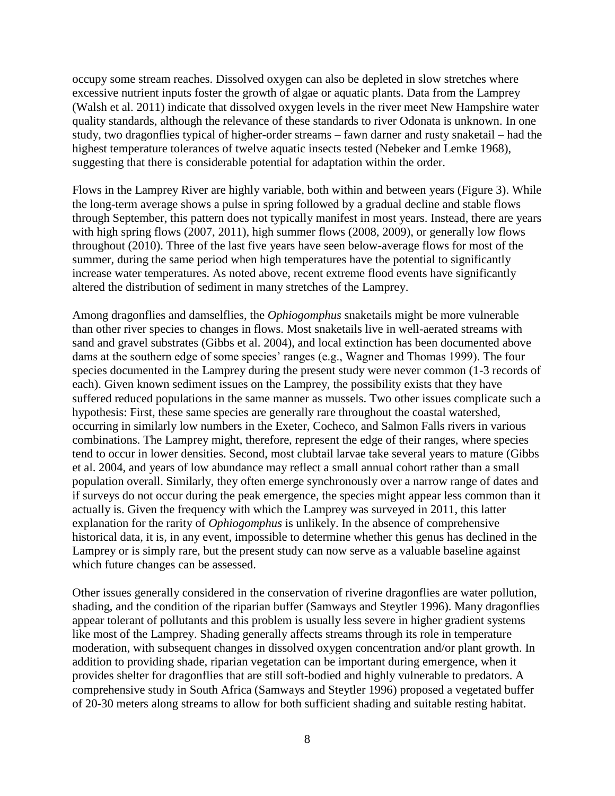occupy some stream reaches. Dissolved oxygen can also be depleted in slow stretches where excessive nutrient inputs foster the growth of algae or aquatic plants. Data from the Lamprey (Walsh et al. 2011) indicate that dissolved oxygen levels in the river meet New Hampshire water quality standards, although the relevance of these standards to river Odonata is unknown. In one study, two dragonflies typical of higher-order streams – fawn darner and rusty snaketail – had the highest temperature tolerances of twelve aquatic insects tested (Nebeker and Lemke 1968), suggesting that there is considerable potential for adaptation within the order.

Flows in the Lamprey River are highly variable, both within and between years (Figure 3). While the long-term average shows a pulse in spring followed by a gradual decline and stable flows through September, this pattern does not typically manifest in most years. Instead, there are years with high spring flows (2007, 2011), high summer flows (2008, 2009), or generally low flows throughout (2010). Three of the last five years have seen below-average flows for most of the summer, during the same period when high temperatures have the potential to significantly increase water temperatures. As noted above, recent extreme flood events have significantly altered the distribution of sediment in many stretches of the Lamprey.

Among dragonflies and damselflies, the *Ophiogomphus* snaketails might be more vulnerable than other river species to changes in flows. Most snaketails live in well-aerated streams with sand and gravel substrates (Gibbs et al. 2004), and local extinction has been documented above dams at the southern edge of some species' ranges (e.g., Wagner and Thomas 1999). The four species documented in the Lamprey during the present study were never common (1-3 records of each). Given known sediment issues on the Lamprey, the possibility exists that they have suffered reduced populations in the same manner as mussels. Two other issues complicate such a hypothesis: First, these same species are generally rare throughout the coastal watershed, occurring in similarly low numbers in the Exeter, Cocheco, and Salmon Falls rivers in various combinations. The Lamprey might, therefore, represent the edge of their ranges, where species tend to occur in lower densities. Second, most clubtail larvae take several years to mature (Gibbs et al. 2004, and years of low abundance may reflect a small annual cohort rather than a small population overall. Similarly, they often emerge synchronously over a narrow range of dates and if surveys do not occur during the peak emergence, the species might appear less common than it actually is. Given the frequency with which the Lamprey was surveyed in 2011, this latter explanation for the rarity of *Ophiogomphus* is unlikely. In the absence of comprehensive historical data, it is, in any event, impossible to determine whether this genus has declined in the Lamprey or is simply rare, but the present study can now serve as a valuable baseline against which future changes can be assessed.

Other issues generally considered in the conservation of riverine dragonflies are water pollution, shading, and the condition of the riparian buffer (Samways and Steytler 1996). Many dragonflies appear tolerant of pollutants and this problem is usually less severe in higher gradient systems like most of the Lamprey. Shading generally affects streams through its role in temperature moderation, with subsequent changes in dissolved oxygen concentration and/or plant growth. In addition to providing shade, riparian vegetation can be important during emergence, when it provides shelter for dragonflies that are still soft-bodied and highly vulnerable to predators. A comprehensive study in South Africa (Samways and Steytler 1996) proposed a vegetated buffer of 20-30 meters along streams to allow for both sufficient shading and suitable resting habitat.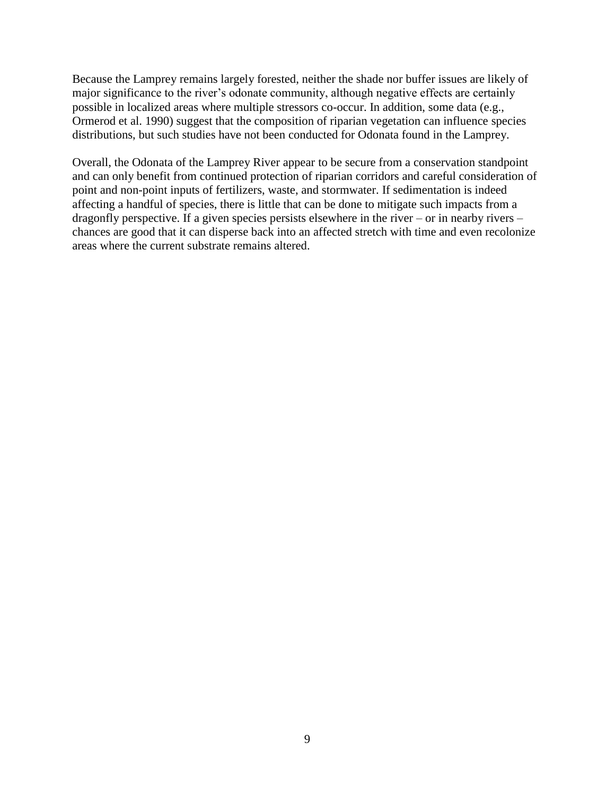Because the Lamprey remains largely forested, neither the shade nor buffer issues are likely of major significance to the river's odonate community, although negative effects are certainly possible in localized areas where multiple stressors co-occur. In addition, some data (e.g., Ormerod et al. 1990) suggest that the composition of riparian vegetation can influence species distributions, but such studies have not been conducted for Odonata found in the Lamprey.

Overall, the Odonata of the Lamprey River appear to be secure from a conservation standpoint and can only benefit from continued protection of riparian corridors and careful consideration of point and non-point inputs of fertilizers, waste, and stormwater. If sedimentation is indeed affecting a handful of species, there is little that can be done to mitigate such impacts from a dragonfly perspective. If a given species persists elsewhere in the river – or in nearby rivers – chances are good that it can disperse back into an affected stretch with time and even recolonize areas where the current substrate remains altered.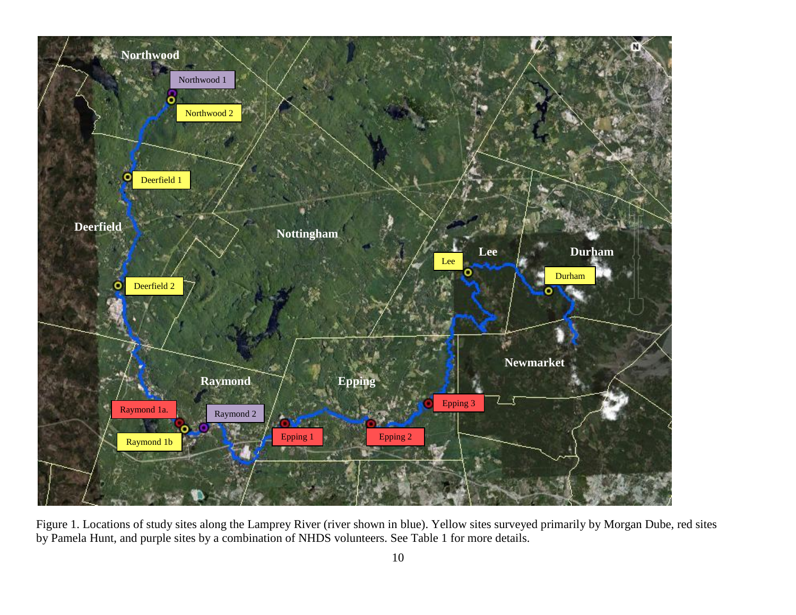

Figure 1. Locations of study sites along the Lamprey River (river shown in blue). Yellow sites surveyed primarily by Morgan Dube, red sites by Pamela Hunt, and purple sites by a combination of NHDS volunteers. See Table 1 for more details.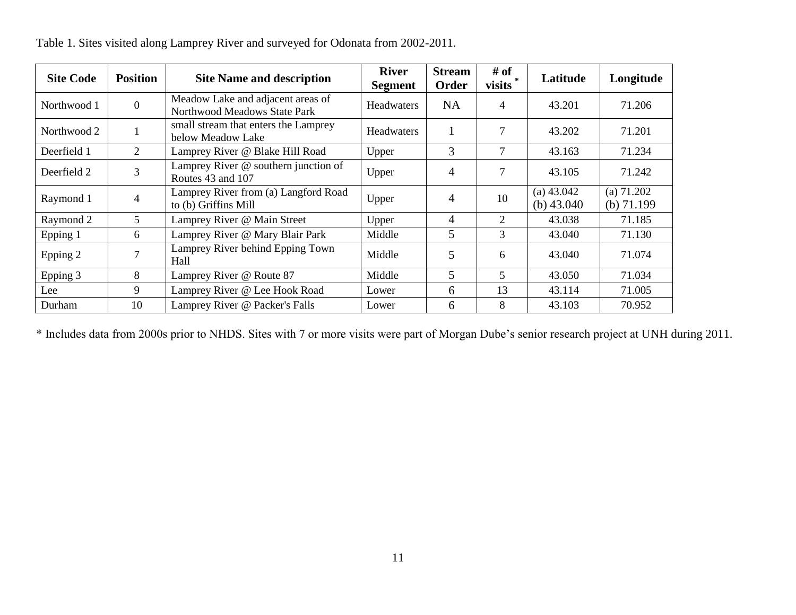| <b>Site Code</b> | <b>Position</b> | <b>Site Name and description</b>                                  | <b>River</b><br><b>Segment</b> | <b>Stream</b><br>Order | # of<br>visits | Latitude                     | Longitude                    |
|------------------|-----------------|-------------------------------------------------------------------|--------------------------------|------------------------|----------------|------------------------------|------------------------------|
| Northwood 1      | $\overline{0}$  | Meadow Lake and adjacent areas of<br>Northwood Meadows State Park | Headwaters                     | <b>NA</b>              | 4              | 43.201                       | 71.206                       |
| Northwood 2      | $\mathbf{1}$    | small stream that enters the Lamprey<br>below Meadow Lake         | <b>Headwaters</b>              |                        | 7              | 43.202                       | 71.201                       |
| Deerfield 1      | $\overline{2}$  | Lamprey River @ Blake Hill Road                                   | Upper                          | 3                      | $\tau$         | 43.163                       | 71.234                       |
| Deerfield 2      | 3               | Lamprey River @ southern junction of<br>Routes 43 and 107         | Upper                          | 4                      | $\overline{7}$ | 43.105                       | 71.242                       |
| Raymond 1        | 4               | Lamprey River from (a) Langford Road<br>to (b) Griffins Mill      | Upper                          | 4                      | 10             | (a) $43.042$<br>(b) $43.040$ | (a) $71.202$<br>(b) $71.199$ |
| Raymond 2        | 5               | Lamprey River @ Main Street                                       | Upper                          | 4                      | 2              | 43.038                       | 71.185                       |
| Epping 1         | 6               | Lamprey River @ Mary Blair Park                                   | Middle                         | 5                      | 3              | 43.040                       | 71.130                       |
| Epping 2         |                 | Lamprey River behind Epping Town<br>Hall                          | Middle                         | 5                      | 6              | 43.040                       | 71.074                       |
| Epping 3         | 8               | Lamprey River @ Route 87                                          | Middle                         | 5                      | $\overline{5}$ | 43.050                       | 71.034                       |
| Lee              | 9               | Lamprey River @ Lee Hook Road                                     | Lower                          | 6                      | 13             | 43.114                       | 71.005                       |
| Durham           | 10              | Lamprey River @ Packer's Falls                                    | Lower                          | 6                      | 8              | 43.103                       | 70.952                       |

Table 1. Sites visited along Lamprey River and surveyed for Odonata from 2002-2011.

\* Includes data from 2000s prior to NHDS. Sites with 7 or more visits were part of Morgan Dube's senior research project at UNH during 2011.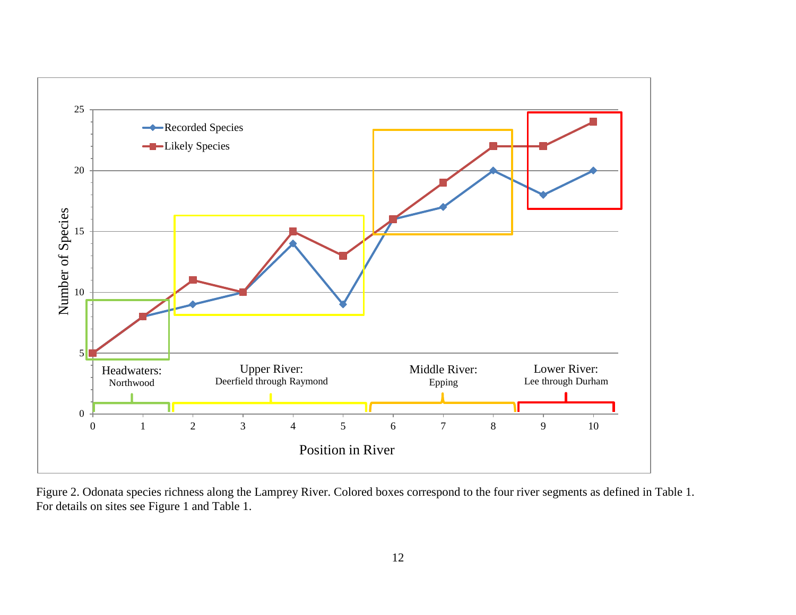

Figure 2. Odonata species richness along the Lamprey River. Colored boxes correspond to the four river segments as defined in Table 1. For details on sites see Figure 1 and Table 1.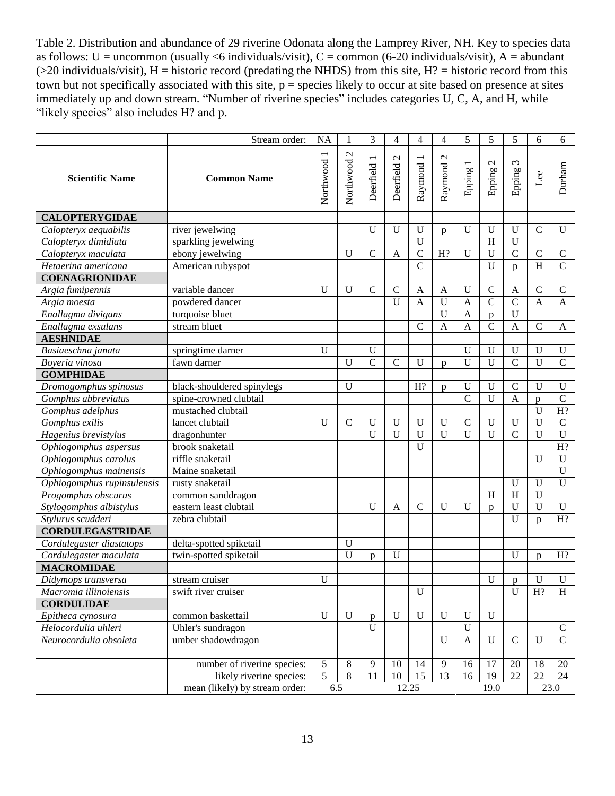Table 2. Distribution and abundance of 29 riverine Odonata along the Lamprey River, NH. Key to species data as follows:  $U =$  uncommon (usually <6 individuals/visit),  $C =$  common (6-20 individuals/visit),  $A =$  abundant  $(>20 \text{ individuals/visit})$ , H = historic record (predating the NHDS) from this site, H? = historic record from this town but not specifically associated with this site,  $p =$  species likely to occur at site based on presence at sites immediately up and down stream. "Number of riverine species" includes categories U, C, A, and H, while "likely species" also includes H? and p.

|                            | Stream order:                  | <b>NA</b>   | 1                          | 3              | 4              | 4              | 4                            | 5                                  | 5                      | 5                           | 6              | 6              |
|----------------------------|--------------------------------|-------------|----------------------------|----------------|----------------|----------------|------------------------------|------------------------------------|------------------------|-----------------------------|----------------|----------------|
| <b>Scientific Name</b>     | <b>Common Name</b>             | Northwood 1 | $\mathcal{L}$<br>Northwood | Deerfield      | Deerfield 2    | Raymond 1      | $\mathbf{\Omega}$<br>Raymond | $\overline{\phantom{0}}$<br>Epping | $\mathbf{C}$<br>Epping | $\epsilon$<br><b>Epping</b> | Lee            | Durham         |
| <b>CALOPTERYGIDAE</b>      |                                |             |                            |                |                |                |                              |                                    |                        |                             |                |                |
| Calopteryx aequabilis      | river jewelwing                |             |                            | $\mathbf U$    | U              | U              | p                            | U                                  | $\mathbf U$            | U                           | $\mathbf C$    | U              |
| Calopteryx dimidiata       | sparkling jewelwing            |             |                            |                |                | U              |                              |                                    | $\overline{H}$         | $\mathbf U$                 |                |                |
| Calopteryx maculata        | ebony jewelwing                |             | U                          | $\mathbf C$    | A              | $\mathcal{C}$  | H?                           | $\mathbf{U}$                       | $\mathbf U$            | $\overline{C}$              | $\mathbf C$    | $\mathsf C$    |
| Hetaerina americana        | American rubyspot              |             |                            |                |                | $\overline{C}$ |                              |                                    | $\overline{U}$         | $\mathbf{D}$                | $\overline{H}$ | $\overline{C}$ |
| <b>COENAGRIONIDAE</b>      |                                |             |                            |                |                |                |                              |                                    |                        |                             |                |                |
| Argia fumipennis           | variable dancer                | U           | $\mathbf U$                | $\mathbf C$    | $\mathcal{C}$  | A              | A                            | U                                  | $\mathsf{C}$           | A                           | $\mathbf C$    | $\mathbf C$    |
| Argia moesta               | powdered dancer                |             |                            |                | $\overline{U}$ | $\overline{A}$ | $\overline{U}$               | $\mathbf{A}$                       | $\overline{C}$         | $\overline{C}$              | $\overline{A}$ | $\mathbf{A}$   |
| Enallagma divigans         | turquoise bluet                |             |                            |                |                |                | $\overline{U}$               | $\mathbf{A}$                       | p                      | $\overline{U}$              |                |                |
| Enallagma exsulans         | stream bluet                   |             |                            |                |                | $\mathcal{C}$  | $\mathbf{A}$                 | $\mathbf{A}$                       | $\mathcal{C}$          | $\overline{A}$              | $\mathbf C$    | A              |
| <b>AESHNIDAE</b>           |                                |             |                            |                |                |                |                              |                                    |                        |                             |                |                |
| Basiaeschna janata         | springtime darner              | U           |                            | $\mathbf U$    |                |                |                              | U                                  | $\mathbf U$            | $\mathbf U$                 | $\mathbf U$    | $\mathbf U$    |
| Boyeria vinosa             | fawn darner                    |             | $\mathbf{U}$               | $\overline{C}$ | $\mathbf C$    | $\mathbf{U}$   | p                            | U                                  | $\overline{U}$         | $\overline{C}$              | U              | $\overline{C}$ |
| <b>GOMPHIDAE</b>           |                                |             |                            |                |                |                |                              |                                    |                        |                             |                |                |
| Dromogomphus spinosus      | black-shouldered spinylegs     |             | $\mathbf U$                |                |                | H?             | p                            | $\mathbf U$                        | $\mathbf U$            | $\mathcal{C}$               | $\mathbf U$    | $\mathbf U$    |
| Gomphus abbreviatus        | spine-crowned clubtail         |             |                            |                |                |                |                              | $\overline{C}$                     | $\overline{U}$         | $\overline{A}$              | p              | $\overline{C}$ |
| Gomphus adelphus           | mustached clubtail             |             |                            |                |                |                |                              |                                    |                        |                             | $\mathbf U$    | H?             |
| Gomphus exilis             | lancet clubtail                | U           | $\mathbf C$                | U              | U              | $\mathbf{U}$   | $\mathbf U$                  | $\mathbf C$                        | $\mathbf U$            | U                           | $\mathbf{U}$   | $\mathcal{C}$  |
| Hagenius brevistylus       | dragonhunter                   |             |                            | U              | $\overline{U}$ | $\mathbf{U}$   | $\overline{U}$               | U                                  | $\overline{U}$         | $\overline{C}$              | U              | $\overline{U}$ |
| Ophiogomphus aspersus      | brook snaketail                |             |                            |                |                | $\mathbf{U}$   |                              |                                    |                        |                             |                | H?             |
| Ophiogomphus carolus       | riffle snaketail               |             |                            |                |                |                |                              |                                    |                        |                             | $\mathbf{U}$   | U              |
| Ophiogomphus mainensis     | Maine snaketail                |             |                            |                |                |                |                              |                                    |                        |                             |                | $\overline{U}$ |
| Ophiogomphus rupinsulensis | rusty snaketail                |             |                            |                |                |                |                              |                                    |                        | U                           | $\mathbf{U}$   | U              |
| Progomphus obscurus        | common sanddragon              |             |                            |                |                |                |                              |                                    | H                      | H                           | $\mathbf U$    |                |
| Stylogomphus albistylus    | eastern least clubtail         |             |                            | $\mathbf U$    | A              | $\mathcal{C}$  | U                            | $\mathbf{U}$                       | p                      | $\mathbf U$                 | U              | U              |
| Stylurus scudderi          | zebra clubtail                 |             |                            |                |                |                |                              |                                    |                        | $\mathbf U$                 | $\mathbf{D}$   | H?             |
| <b>CORDULEGASTRIDAE</b>    |                                |             |                            |                |                |                |                              |                                    |                        |                             |                |                |
| Cordulegaster diastatops   | delta-spotted spiketail        |             | $\mathbf U$                |                |                |                |                              |                                    |                        |                             |                |                |
| Cordulegaster maculata     | twin-spotted spiketail         |             | $\mathbf U$                | D              | U              |                |                              |                                    |                        | U                           | <sub>n</sub>   | H?             |
| <b>MACROMIDAE</b>          |                                |             |                            |                |                |                |                              |                                    |                        |                             |                |                |
| Didymops transversa        | stream cruiser                 | $\mathbf U$ |                            |                |                |                |                              |                                    | U                      | p                           | U              | U              |
| Macromia illinoiensis      | swift river cruiser            |             |                            |                |                | U              |                              |                                    |                        | U                           | H?             | H              |
| <b>CORDULIDAE</b>          |                                |             |                            |                |                |                |                              |                                    |                        |                             |                |                |
| Epitheca cynosura          | common baskettail              | $\mathbf U$ | U                          | p              | $\mathbf U$    | U              | U                            | U                                  | U                      |                             |                |                |
| Helocordulia uhleri        | Uhler's sundragon              |             |                            | $\mathbf U$    |                |                |                              | U                                  |                        |                             |                | $\mathsf C$    |
| Neurocordulia obsoleta     | umber shadowdragon             |             |                            |                |                |                | U                            | $\mathbf{A}$                       | $\mathbf U$            | $\mathcal{C}$               | U              | $\mathbf C$    |
|                            |                                |             |                            |                |                |                |                              |                                    |                        |                             |                |                |
|                            | number of riverine species:    | 5           | 8                          | 9              | 10             | 14             | 9                            | 16                                 | 17                     | 20                          | 18             | 20             |
|                            | likely riverine species:       | 5           | 8                          | 11             | 10             | 15             | 13                           | 16                                 | 19                     | 22                          | 22             | 24             |
|                            | mean (likely) by stream order: |             | 6.5                        |                |                | 12.25          |                              |                                    | 19.0                   |                             |                | 23.0           |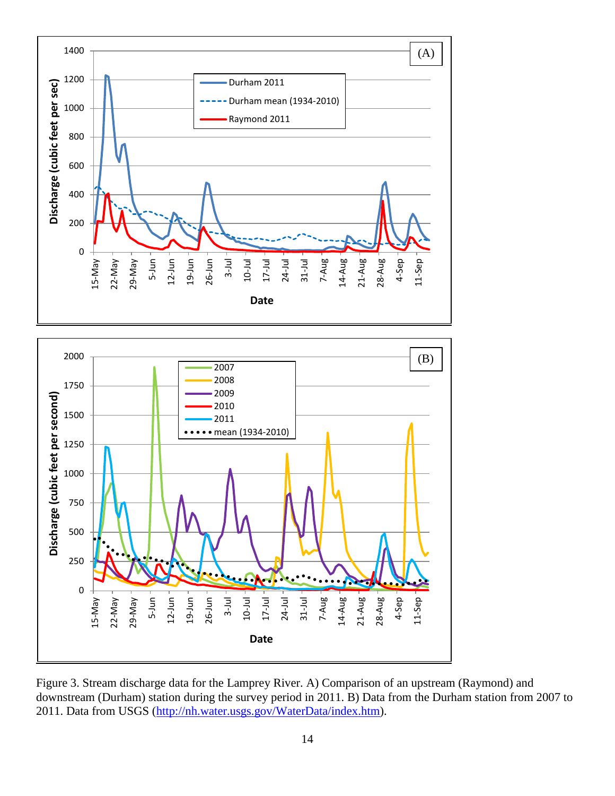



Figure 3. Stream discharge data for the Lamprey River. A) Comparison of an upstream (Raymond) and downstream (Durham) station during the survey period in 2011. B) Data from the Durham station from 2007 to 2011. Data from USGS [\(http://nh.water.usgs.gov/WaterData/index.htm\)](http://nh.water.usgs.gov/WaterData/index.htm).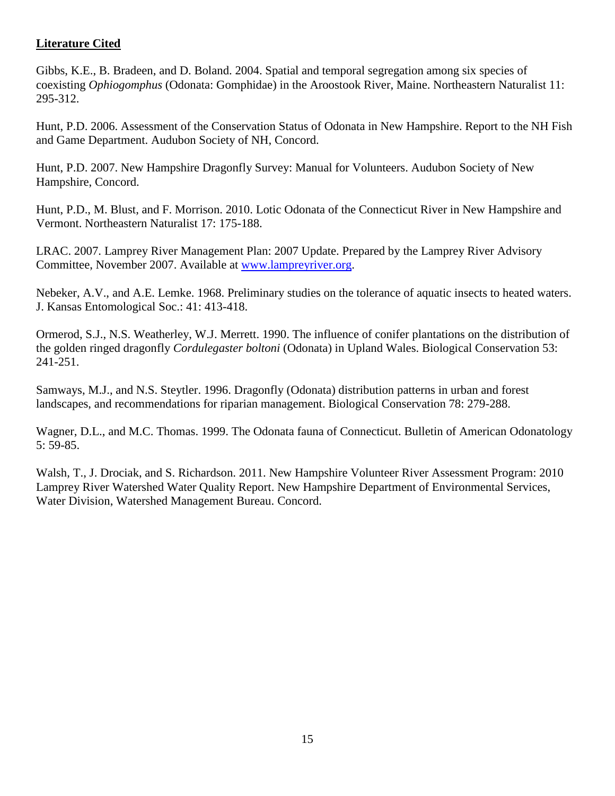# **Literature Cited**

Gibbs, K.E., B. Bradeen, and D. Boland. 2004. Spatial and temporal segregation among six species of coexisting *Ophiogomphus* (Odonata: Gomphidae) in the Aroostook River, Maine. Northeastern Naturalist 11: 295-312.

Hunt, P.D. 2006. Assessment of the Conservation Status of Odonata in New Hampshire. Report to the NH Fish and Game Department. Audubon Society of NH, Concord.

Hunt, P.D. 2007. New Hampshire Dragonfly Survey: Manual for Volunteers. Audubon Society of New Hampshire, Concord.

Hunt, P.D., M. Blust, and F. Morrison. 2010. Lotic Odonata of the Connecticut River in New Hampshire and Vermont. Northeastern Naturalist 17: 175-188.

LRAC. 2007. Lamprey River Management Plan: 2007 Update. Prepared by the Lamprey River Advisory Committee, November 2007. Available at [www.lampreyriver.org.](http://www.lampreyriver.org/)

Nebeker, A.V., and A.E. Lemke. 1968. Preliminary studies on the tolerance of aquatic insects to heated waters. J. Kansas Entomological Soc.: 41: 413-418.

Ormerod, S.J., N.S. Weatherley, W.J. Merrett. 1990. The influence of conifer plantations on the distribution of the golden ringed dragonfly *Cordulegaster boltoni* (Odonata) in Upland Wales. Biological Conservation 53: 241-251.

Samways, M.J., and N.S. Steytler. 1996. Dragonfly (Odonata) distribution patterns in urban and forest landscapes, and recommendations for riparian management. Biological Conservation 78: 279-288.

Wagner, D.L., and M.C. Thomas. 1999. The Odonata fauna of Connecticut. Bulletin of American Odonatology 5: 59-85.

Walsh, T., J. Drociak, and S. Richardson. 2011. New Hampshire Volunteer River Assessment Program: 2010 Lamprey River Watershed Water Quality Report. New Hampshire Department of Environmental Services, Water Division, Watershed Management Bureau. Concord.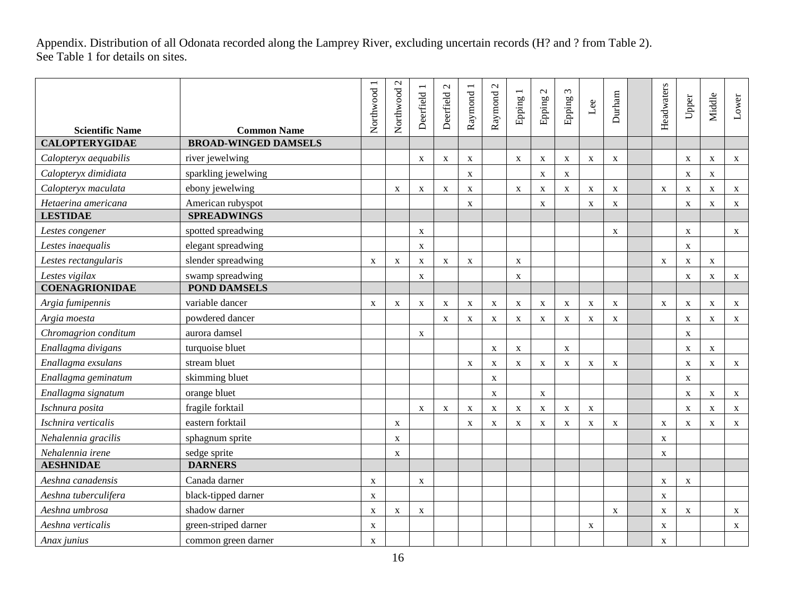Appendix. Distribution of all Odonata recorded along the Lamprey River, excluding uncertain records (H? and ? from Table 2). See Table 1 for details on sites.

| <b>Scientific Name</b> | <b>Common Name</b>          | Northwood 1  | $\mathcal{L}$<br>Northwood | Deerfield 1  | Deerfield 2  | Raymond 1    | Raymond 2    | $\overline{\phantom{a}}$<br>Epping 1 | $\mathcal{L}$<br>Epping <sub>2</sub> | $\epsilon$<br>Epping .    | Lee         | Durham       | Headwaters  | Upper        | Middle      | Lower        |
|------------------------|-----------------------------|--------------|----------------------------|--------------|--------------|--------------|--------------|--------------------------------------|--------------------------------------|---------------------------|-------------|--------------|-------------|--------------|-------------|--------------|
| <b>CALOPTERYGIDAE</b>  | <b>BROAD-WINGED DAMSELS</b> |              |                            |              |              |              |              |                                      |                                      |                           |             |              |             |              |             |              |
| Calopteryx aequabilis  | river jewelwing             |              |                            | $\mathbf{X}$ | $\mathbf X$  | $\mathbf X$  |              | $\mathbf X$                          | $\mathbf X$                          | $\mathbf X$               | $\mathbf X$ | $\mathbf{X}$ |             | $\mathbf X$  | $\mathbf X$ | $\mathbf X$  |
| Calopteryx dimidiata   | sparkling jewelwing         |              |                            |              |              | $\mathbf{X}$ |              |                                      | $\mathbf X$                          | $\mathbf X$               |             |              |             | $\mathbf{X}$ | X           |              |
| Calopteryx maculata    | ebony jewelwing             |              | X                          | $\mathbf X$  | $\mathbf X$  | $\mathbf X$  |              | $\mathbf X$                          | $\mathbf X$                          | X                         | $\mathbf X$ | $\mathbf X$  | X           | $\mathbf X$  | $\mathbf X$ | $\mathbf X$  |
| Hetaerina americana    | American rubyspot           |              |                            |              |              | $\mathbf{X}$ |              |                                      | $\mathbf X$                          |                           | $\mathbf X$ | $\mathbf X$  |             | X            | X           | $\mathbf X$  |
| <b>LESTIDAE</b>        | <b>SPREADWINGS</b>          |              |                            |              |              |              |              |                                      |                                      |                           |             |              |             |              |             |              |
| Lestes congener        | spotted spreadwing          |              |                            | $\mathbf X$  |              |              |              |                                      |                                      |                           |             | $\mathbf X$  |             | $\mathbf X$  |             | $\mathbf X$  |
| Lestes inaequalis      | elegant spreadwing          |              |                            | $\mathbf{X}$ |              |              |              |                                      |                                      |                           |             |              |             | $\mathbf{X}$ |             |              |
| Lestes rectangularis   | slender spreadwing          | $\mathbf{X}$ | $\mathbf X$                | $\mathbf X$  | $\mathbf X$  | $\mathbf X$  |              | $\mathbf X$                          |                                      |                           |             |              | $\mathbf X$ | $\mathbf X$  | $\mathbf X$ |              |
| Lestes vigilax         | swamp spreadwing            |              |                            | $\mathbf X$  |              |              |              | $\mathbf X$                          |                                      |                           |             |              |             | $\mathbf X$  | $\mathbf X$ | $\mathbf X$  |
| <b>COENAGRIONIDAE</b>  | <b>POND DAMSELS</b>         |              |                            |              |              |              |              |                                      |                                      |                           |             |              |             |              |             |              |
| Argia fumipennis       | variable dancer             | $\mathbf{X}$ | X                          | $\mathbf X$  | $\mathbf X$  | X            | X            | $\mathbf X$                          | $\mathbf X$                          | X                         | $\mathbf X$ | $\mathbf X$  | X           | $\mathbf X$  | X           | $\mathbf X$  |
| Argia moesta           | powdered dancer             |              |                            |              | X            | $\mathbf X$  | $\mathbf X$  | $\mathbf X$                          | $\mathbf X$                          | $\mathbf X$               | $\mathbf X$ | X            |             | X            | $\mathbf X$ | $\mathbf X$  |
| Chromagrion conditum   | aurora damsel               |              |                            | $\mathbf{X}$ |              |              |              |                                      |                                      |                           |             |              |             | $\mathbf X$  |             |              |
| Enallagma divigans     | turquoise bluet             |              |                            |              |              |              | $\mathbf X$  | $\mathbf X$                          |                                      | $\boldsymbol{\mathrm{X}}$ |             |              |             | $\mathbf X$  | $\mathbf X$ |              |
| Enallagma exsulans     | stream bluet                |              |                            |              |              | $\mathbf X$  | $\mathbf X$  | $\mathbf X$                          | $\mathbf X$                          | $\mathbf x$               | $\mathbf X$ | $\mathbf X$  |             | $\mathbf X$  | $\mathbf X$ | $\mathbf X$  |
| Enallagma geminatum    | skimming bluet              |              |                            |              |              |              | X            |                                      |                                      |                           |             |              |             | X            |             |              |
| Enallagma signatum     | orange bluet                |              |                            |              |              |              | $\mathbf X$  |                                      | $\mathbf X$                          |                           |             |              |             | $\mathbf X$  | $\mathbf X$ | $\mathbf X$  |
| Ischnura posita        | fragile forktail            |              |                            | $\mathbf{X}$ | $\mathbf{X}$ | $\mathbf{X}$ | $\mathbf{X}$ | X                                    | $\mathbf X$                          | X                         | $\mathbf X$ |              |             | X            | X           | $\mathbf{X}$ |
| Ischnira verticalis    | eastern forktail            |              | $\mathbf X$                |              |              | $\mathbf X$  | $\mathbf X$  | $\mathbf X$                          | $\mathbf X$                          | $\mathbf X$               | $\mathbf X$ | X            | $\mathbf X$ | $\mathbf X$  | $\mathbf X$ | $\mathbf X$  |
| Nehalennia gracilis    | sphagnum sprite             |              | X                          |              |              |              |              |                                      |                                      |                           |             |              | X           |              |             |              |
| Nehalennia irene       | sedge sprite                |              | $\mathbf X$                |              |              |              |              |                                      |                                      |                           |             |              | X           |              |             |              |
| <b>AESHNIDAE</b>       | <b>DARNERS</b>              |              |                            |              |              |              |              |                                      |                                      |                           |             |              |             |              |             |              |
| Aeshna canadensis      | Canada darner               | $\mathbf{X}$ |                            | $\mathbf{X}$ |              |              |              |                                      |                                      |                           |             |              | $\mathbf X$ | X            |             |              |
| Aeshna tuberculifera   | black-tipped darner         | $\mathbf X$  |                            |              |              |              |              |                                      |                                      |                           |             |              | $\mathbf X$ |              |             |              |
| Aeshna umbrosa         | shadow darner               | $\mathbf{X}$ | X                          | X            |              |              |              |                                      |                                      |                           |             | $\mathbf{X}$ | $\mathbf X$ | X            |             | X            |
| Aeshna verticalis      | green-striped darner        | X            |                            |              |              |              |              |                                      |                                      |                           | $\mathbf X$ |              | X           |              |             | $\mathbf X$  |
| Anax junius            | common green darner         | X            |                            |              |              |              |              |                                      |                                      |                           |             |              | X           |              |             |              |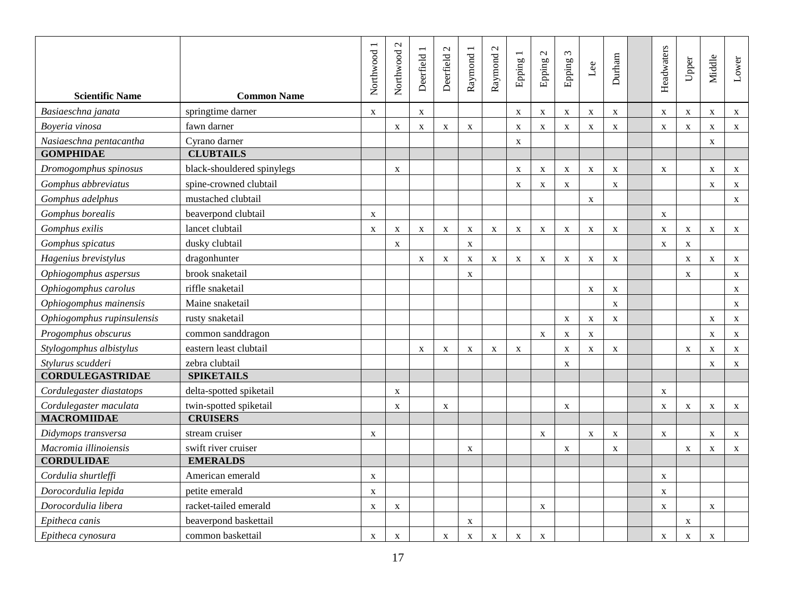| <b>Scientific Name</b>     | <b>Common Name</b>         | Northwood    | Northwood 2 | Deerfield 1 | $\mathbf{C}$<br>Deerfield | Raymond 1                 | Raymond 2   | $\overline{\phantom{0}}$<br>Epping 1 | Epping 2    | $\omega$<br>Epping | Lee         | Durham      | Headwaters  | Upper        | Middle                    | Lower        |
|----------------------------|----------------------------|--------------|-------------|-------------|---------------------------|---------------------------|-------------|--------------------------------------|-------------|--------------------|-------------|-------------|-------------|--------------|---------------------------|--------------|
| Basiaeschna janata         | springtime darner          | $\mathbf{X}$ |             | X           |                           |                           |             | $\boldsymbol{\mathrm{X}}$            | $\mathbf X$ | $\mathbf X$        | $\mathbf X$ | $\mathbf X$ | $\mathbf X$ | $\mathbf{X}$ | $\boldsymbol{\mathrm{X}}$ | $\mathbf X$  |
| Boyeria vinosa             | fawn darner                |              | $\mathbf X$ | $\mathbf X$ | $\mathbf X$               | $\boldsymbol{\mathrm{X}}$ |             | X                                    | $\mathbf X$ | $\mathbf X$        | $\mathbf X$ | $\mathbf X$ | $\mathbf X$ | $\mathbf X$  | X                         | $\mathbf{X}$ |
| Nasiaeschna pentacantha    | Cyrano darner              |              |             |             |                           |                           |             | $\mathbf X$                          |             |                    |             |             |             |              | X                         |              |
| <b>GOMPHIDAE</b>           | <b>CLUBTAILS</b>           |              |             |             |                           |                           |             |                                      |             |                    |             |             |             |              |                           |              |
| Dromogomphus spinosus      | black-shouldered spinylegs |              | X           |             |                           |                           |             | $\mathbf{X}$                         | $\mathbf X$ | X                  | $\mathbf X$ | X           | $\mathbf X$ |              | $\boldsymbol{\mathrm{X}}$ | X            |
| Gomphus abbreviatus        | spine-crowned clubtail     |              |             |             |                           |                           |             | $\boldsymbol{\mathrm{X}}$            | $\mathbf X$ | X                  |             | $\mathbf X$ |             |              | $\boldsymbol{\mathrm{X}}$ | $\mathbf X$  |
| Gomphus adelphus           | mustached clubtail         |              |             |             |                           |                           |             |                                      |             |                    | $\mathbf X$ |             |             |              |                           | X            |
| Gomphus borealis           | beaverpond clubtail        | X            |             |             |                           |                           |             |                                      |             |                    |             |             | X           |              |                           |              |
| Gomphus exilis             | lancet clubtail            | X            | $\mathbf X$ | X           | $\mathbf X$               | $\mathbf X$               | $\mathbf X$ | $\mathbf X$                          | $\mathbf X$ | X                  | $\mathbf X$ | X           | $\mathbf X$ | $\mathbf X$  | $\boldsymbol{\mathrm{X}}$ | $\mathbf X$  |
| Gomphus spicatus           | dusky clubtail             |              | $\mathbf X$ |             |                           | $\mathbf X$               |             |                                      |             |                    |             |             | $\mathbf X$ | $\mathbf X$  |                           |              |
| Hagenius brevistylus       | dragonhunter               |              |             | X           | X                         | $\mathbf{X}$              | X           | X                                    | X           | X                  | X           | X           |             | $\mathbf X$  | $\mathbf{X}$              | $\mathbf{X}$ |
| Ophiogomphus aspersus      | brook snaketail            |              |             |             |                           | $\mathbf X$               |             |                                      |             |                    |             |             |             | $\mathbf X$  |                           | $\mathbf X$  |
| Ophiogomphus carolus       | riffle snaketail           |              |             |             |                           |                           |             |                                      |             |                    | $\mathbf X$ | $\mathbf X$ |             |              |                           | $\mathbf{X}$ |
| Ophiogomphus mainensis     | Maine snaketail            |              |             |             |                           |                           |             |                                      |             |                    |             | $\mathbf X$ |             |              |                           | $\mathbf X$  |
| Ophiogomphus rupinsulensis | rusty snaketail            |              |             |             |                           |                           |             |                                      |             | X                  | X           | $\mathbf X$ |             |              | $\boldsymbol{\mathrm{X}}$ | $\mathbf X$  |
| Progomphus obscurus        | common sanddragon          |              |             |             |                           |                           |             |                                      | $\mathbf X$ | X                  | $\mathbf X$ |             |             |              | $\boldsymbol{\mathrm{X}}$ | $\mathbf{X}$ |
| Stylogomphus albistylus    | eastern least clubtail     |              |             | X           | X                         | X                         | $\mathbf X$ | X                                    |             | $\mathbf x$        | $\mathbf X$ | X           |             | $\mathbf{X}$ | X                         | $\mathbf X$  |
| Stylurus scudderi          | zebra clubtail             |              |             |             |                           |                           |             |                                      |             | X                  |             |             |             |              | X                         | $\mathbf{X}$ |
| <b>CORDULEGASTRIDAE</b>    | <b>SPIKETAILS</b>          |              |             |             |                           |                           |             |                                      |             |                    |             |             |             |              |                           |              |
| Cordulegaster diastatops   | delta-spotted spiketail    |              | $\mathbf X$ |             |                           |                           |             |                                      |             |                    |             |             | $\mathbf X$ |              |                           |              |
| Cordulegaster maculata     | twin-spotted spiketail     |              | $\mathbf X$ |             | X                         |                           |             |                                      |             | $\mathbf X$        |             |             | $\mathbf X$ | $\mathbf X$  | $\mathbf X$               | X            |
| <b>MACROMIIDAE</b>         | <b>CRUISERS</b>            |              |             |             |                           |                           |             |                                      |             |                    |             |             |             |              |                           |              |
| Didymops transversa        | stream cruiser             | X            |             |             |                           |                           |             |                                      | X           |                    | $\mathbf X$ | $\mathbf X$ | $\mathbf X$ |              | X                         | $\mathbf X$  |
| Macromia illinoiensis      | swift river cruiser        |              |             |             |                           | $\mathbf X$               |             |                                      |             | $\mathbf X$        |             | $\mathbf X$ |             | $\mathbf{X}$ | $\mathbf{X}$              | $\mathbf{X}$ |
| <b>CORDULIDAE</b>          | <b>EMERALDS</b>            |              |             |             |                           |                           |             |                                      |             |                    |             |             |             |              |                           |              |
| Cordulia shurtleffi        | American emerald           | $\mathbf{X}$ |             |             |                           |                           |             |                                      |             |                    |             |             | $\mathbf X$ |              |                           |              |
| Dorocordulia lepida        | petite emerald             | $\mathbf{X}$ |             |             |                           |                           |             |                                      |             |                    |             |             | $\mathbf X$ |              |                           |              |
| Dorocordulia libera        | racket-tailed emerald      | X            | X           |             |                           |                           |             |                                      | X           |                    |             |             | $\mathbf X$ |              | $\boldsymbol{\mathrm{X}}$ |              |
| Epitheca canis             | beaverpond baskettail      |              |             |             |                           | $\mathbf X$               |             |                                      |             |                    |             |             |             | $\mathbf X$  |                           |              |
| Epitheca cynosura          | common baskettail          | X            | X           |             | X                         | $\boldsymbol{\mathrm{X}}$ | X           | X                                    | $\mathbf X$ |                    |             |             | X           | X            | X                         |              |